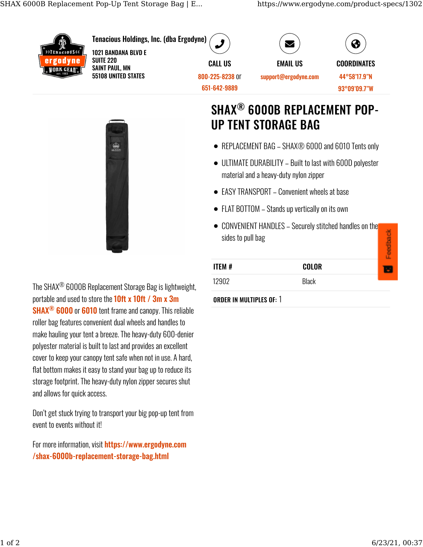

## **SHAX<sup>®</sup> 6000B REPLACEMENT POP-UP TENT STORAGE BAG**

- REPLACEMENT BAG SHAX® 6000 and 6010 Tents only
- ULTIMATE DURABILITY Built to last with 600D polyester material and a heavy-duty nylon zipper
- EASY TRANSPORT Convenient wheels at base
- FLAT BOTTOM Stands up vertically on its own
- CONVENIENT HANDLES Securely stitched handles on the dhack sides to pull bag

| ITEM # | <b>COLOR</b> |  |
|--------|--------------|--|
| 12902  | <b>Black</b> |  |

## **ORDER IN MULTIPLES OF: 1**

The SHAX<sup>®</sup> 6000B Replacement Storage Bag is lightweight, portable and used to store the 10ft x 10ft / 3m x 3m SHAX<sup>®</sup> 6000 or 6010 tent frame and canopy. This reliable roller bag features convenient dual wheels and handles to make hauling your tent a breeze. The heavy-duty 600-denier polyester material is built to last and provides an excellent cover to keep your canopy tent safe when not in use. A hard, flat bottom makes it easy to stand your bag up to reduce its storage footprint. The heavy-duty nylon zipper secures shut

> Don't get stuck trying to transport your big pop-up tent from event to events without it!

and allows for quick access.

For more information, visit https://www.ergodyne.com /shax-6000b-replacement-storage-bag.html